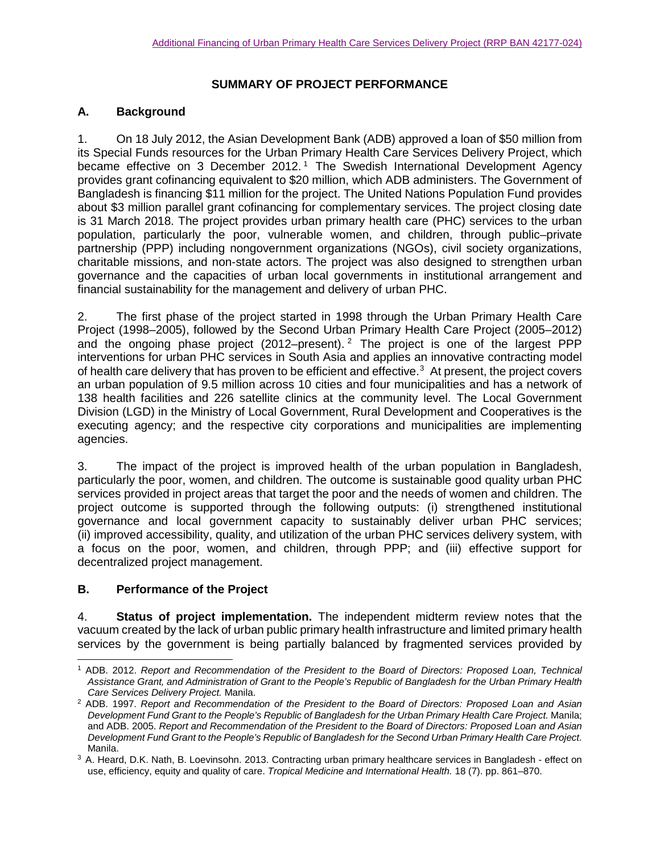## **SUMMARY OF PROJECT PERFORMANCE**

## **A. Background**

1. On 18 July 2012, the Asian Development Bank (ADB) approved a loan of \$50 million from its Special Funds resources for the Urban Primary Health Care Services Delivery Project, which became effective on 3 December 20[1](#page-0-0)2.<sup>1</sup> The Swedish International Development Agency provides grant cofinancing equivalent to \$20 million, which ADB administers. The Government of Bangladesh is financing \$11 million for the project. The United Nations Population Fund provides about \$3 million parallel grant cofinancing for complementary services. The project closing date is 31 March 2018. The project provides urban primary health care (PHC) services to the urban population, particularly the poor, vulnerable women, and children, through public–private partnership (PPP) including nongovernment organizations (NGOs), civil society organizations, charitable missions, and non-state actors. The project was also designed to strengthen urban governance and the capacities of urban local governments in institutional arrangement and financial sustainability for the management and delivery of urban PHC.

2. The first phase of the project started in 1998 through the Urban Primary Health Care Project (1998–2005), followed by the Second Urban Primary Health Care Project (2005–2012) and the ongoing phase project  $(2012$  $(2012$  $(2012$ –present). <sup>2</sup> The project is one of the largest PPP interventions for urban PHC services in South Asia and applies an innovative contracting model of health care delivery that has proven to be efficient and effective. [3](#page-0-2) At present, the project covers an urban population of 9.5 million across 10 cities and four municipalities and has a network of 138 health facilities and 226 satellite clinics at the community level. The Local Government Division (LGD) in the Ministry of Local Government, Rural Development and Cooperatives is the executing agency; and the respective city corporations and municipalities are implementing agencies.

3. The impact of the project is improved health of the urban population in Bangladesh, particularly the poor, women, and children. The outcome is sustainable good quality urban PHC services provided in project areas that target the poor and the needs of women and children. The project outcome is supported through the following outputs: (i) strengthened institutional governance and local government capacity to sustainably deliver urban PHC services; (ii) improved accessibility, quality, and utilization of the urban PHC services delivery system, with a focus on the poor, women, and children, through PPP; and (iii) effective support for decentralized project management.

## **B. Performance of the Project**

4. **Status of project implementation.** The independent midterm review notes that the vacuum created by the lack of urban public primary health infrastructure and limited primary health services by the government is being partially balanced by fragmented services provided by

<span id="page-0-0"></span> <sup>1</sup> ADB. 2012. *Report and Recommendation of the President to the Board of Directors: Proposed Loan, Technical Assistance Grant, and Administration of Grant to the People's Republic of Bangladesh for the Urban Primary Health Care Services Delivery Project.* Manila.

<span id="page-0-1"></span><sup>2</sup> ADB. 1997. *Report and Recommendation of the President to the Board of Directors: Proposed Loan and Asian Development Fund Grant to the People's Republic of Bangladesh for the Urban Primary Health Care Project.* Manila; and ADB. 2005. *Report and Recommendation of the President to the Board of Directors: Proposed Loan and Asian Development Fund Grant to the People's Republic of Bangladesh for the Second Urban Primary Health Care Project.*  Manila.<br><sup>3</sup> A. Heard, D.K. Nath, B. Loevinsohn. 2013. Contracting urban primary healthcare services in Bangladesh - effect on

<span id="page-0-2"></span>use, efficiency, equity and quality of care. *Tropical Medicine and International Health.* 18 (7). pp. 861–870.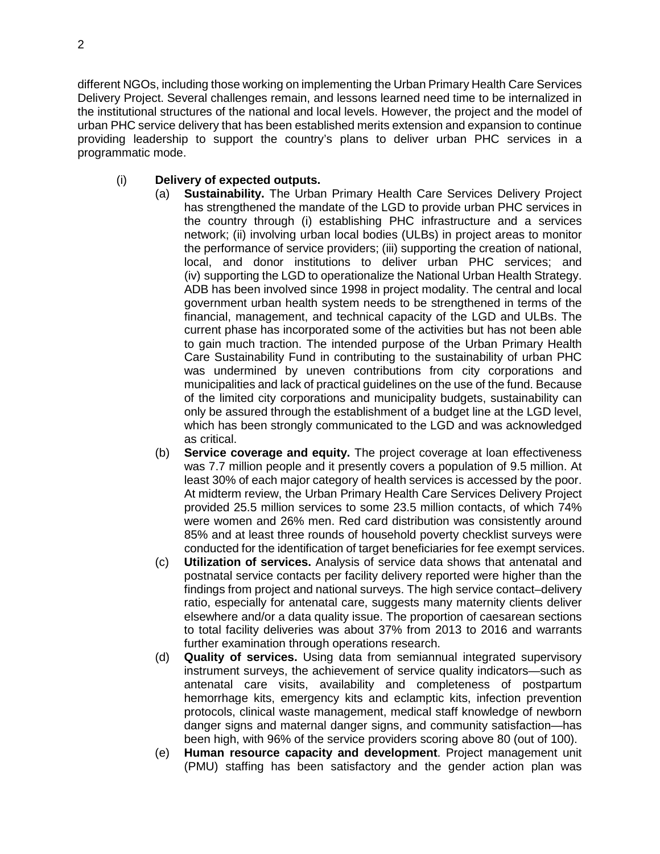different NGOs, including those working on implementing the Urban Primary Health Care Services Delivery Project. Several challenges remain, and lessons learned need time to be internalized in the institutional structures of the national and local levels. However, the project and the model of urban PHC service delivery that has been established merits extension and expansion to continue providing leadership to support the country's plans to deliver urban PHC services in a programmatic mode.

## (i) **Delivery of expected outputs.**

- (a) **Sustainability.** The Urban Primary Health Care Services Delivery Project has strengthened the mandate of the LGD to provide urban PHC services in the country through (i) establishing PHC infrastructure and a services network; (ii) involving urban local bodies (ULBs) in project areas to monitor the performance of service providers; (iii) supporting the creation of national, local, and donor institutions to deliver urban PHC services; and (iv) supporting the LGD to operationalize the National Urban Health Strategy. ADB has been involved since 1998 in project modality. The central and local government urban health system needs to be strengthened in terms of the financial, management, and technical capacity of the LGD and ULBs. The current phase has incorporated some of the activities but has not been able to gain much traction. The intended purpose of the Urban Primary Health Care Sustainability Fund in contributing to the sustainability of urban PHC was undermined by uneven contributions from city corporations and municipalities and lack of practical guidelines on the use of the fund. Because of the limited city corporations and municipality budgets, sustainability can only be assured through the establishment of a budget line at the LGD level, which has been strongly communicated to the LGD and was acknowledged as critical.
- (b) **Service coverage and equity.** The project coverage at loan effectiveness was 7.7 million people and it presently covers a population of 9.5 million. At least 30% of each major category of health services is accessed by the poor. At midterm review, the Urban Primary Health Care Services Delivery Project provided 25.5 million services to some 23.5 million contacts, of which 74% were women and 26% men. Red card distribution was consistently around 85% and at least three rounds of household poverty checklist surveys were conducted for the identification of target beneficiaries for fee exempt services.
- (c) **Utilization of services.** Analysis of service data shows that antenatal and postnatal service contacts per facility delivery reported were higher than the findings from project and national surveys. The high service contact–delivery ratio, especially for antenatal care, suggests many maternity clients deliver elsewhere and/or a data quality issue. The proportion of caesarean sections to total facility deliveries was about 37% from 2013 to 2016 and warrants further examination through operations research.
- (d) **Quality of services.** Using data from semiannual integrated supervisory instrument surveys, the achievement of service quality indicators—such as antenatal care visits, availability and completeness of postpartum hemorrhage kits, emergency kits and eclamptic kits, infection prevention protocols, clinical waste management, medical staff knowledge of newborn danger signs and maternal danger signs, and community satisfaction—has been high, with 96% of the service providers scoring above 80 (out of 100).
- (e) **Human resource capacity and development**. Project management unit (PMU) staffing has been satisfactory and the gender action plan was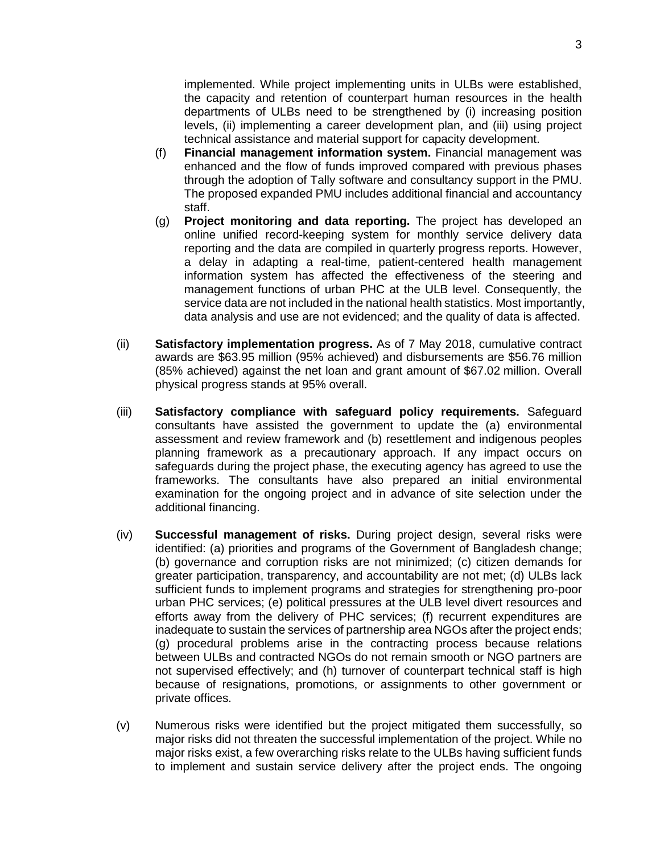implemented. While project implementing units in ULBs were established, the capacity and retention of counterpart human resources in the health departments of ULBs need to be strengthened by (i) increasing position levels, (ii) implementing a career development plan, and (iii) using project technical assistance and material support for capacity development.

- (f) **Financial management information system.** Financial management was enhanced and the flow of funds improved compared with previous phases through the adoption of Tally software and consultancy support in the PMU. The proposed expanded PMU includes additional financial and accountancy staff.
- (g) **Project monitoring and data reporting.** The project has developed an online unified record-keeping system for monthly service delivery data reporting and the data are compiled in quarterly progress reports. However, a delay in adapting a real-time, patient-centered health management information system has affected the effectiveness of the steering and management functions of urban PHC at the ULB level. Consequently, the service data are not included in the national health statistics. Most importantly, data analysis and use are not evidenced; and the quality of data is affected.
- (ii) **Satisfactory implementation progress.** As of 7 May 2018, cumulative contract awards are \$63.95 million (95% achieved) and disbursements are \$56.76 million (85% achieved) against the net loan and grant amount of \$67.02 million. Overall physical progress stands at 95% overall.
- (iii) **Satisfactory compliance with safeguard policy requirements.** Safeguard consultants have assisted the government to update the (a) environmental assessment and review framework and (b) resettlement and indigenous peoples planning framework as a precautionary approach. If any impact occurs on safeguards during the project phase, the executing agency has agreed to use the frameworks. The consultants have also prepared an initial environmental examination for the ongoing project and in advance of site selection under the additional financing.
- (iv) **Successful management of risks.** During project design, several risks were identified: (a) priorities and programs of the Government of Bangladesh change; (b) governance and corruption risks are not minimized; (c) citizen demands for greater participation, transparency, and accountability are not met; (d) ULBs lack sufficient funds to implement programs and strategies for strengthening pro-poor urban PHC services; (e) political pressures at the ULB level divert resources and efforts away from the delivery of PHC services; (f) recurrent expenditures are inadequate to sustain the services of partnership area NGOs after the project ends; (g) procedural problems arise in the contracting process because relations between ULBs and contracted NGOs do not remain smooth or NGO partners are not supervised effectively; and (h) turnover of counterpart technical staff is high because of resignations, promotions, or assignments to other government or private offices.
- (v) Numerous risks were identified but the project mitigated them successfully, so major risks did not threaten the successful implementation of the project. While no major risks exist, a few overarching risks relate to the ULBs having sufficient funds to implement and sustain service delivery after the project ends. The ongoing